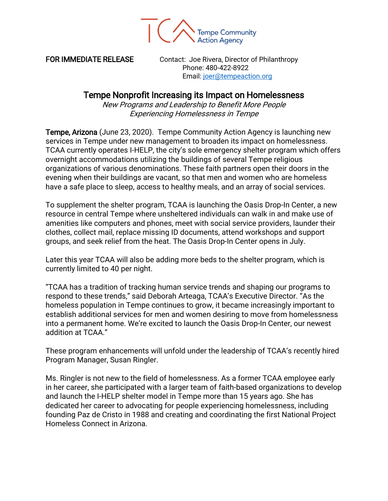

FOR IMMEDIATE RELEASE Contact: Joe Rivera, Director of Philanthropy Phone: 480-422-8922 Email: [joer@tempeaction.org](mailto:joer@tempeaction.org)

## Tempe Nonprofit Increasing its Impact on Homelessness

New Programs and Leadership to Benefit More People Experiencing Homelessness in Tempe

Tempe, Arizona (June 23, 2020). Tempe Community Action Agency is launching new services in Tempe under new management to broaden its impact on homelessness. TCAA currently operates I-HELP, the city's sole emergency shelter program which offers overnight accommodations utilizing the buildings of several Tempe religious organizations of various denominations. These faith partners open their doors in the evening when their buildings are vacant, so that men and women who are homeless have a safe place to sleep, access to healthy meals, and an array of social services.

To supplement the shelter program, TCAA is launching the Oasis Drop-In Center, a new resource in central Tempe where unsheltered individuals can walk in and make use of amenities like computers and phones, meet with social service providers, launder their clothes, collect mail, replace missing ID documents, attend workshops and support groups, and seek relief from the heat. The Oasis Drop-In Center opens in July.

Later this year TCAA will also be adding more beds to the shelter program, which is currently limited to 40 per night.

"TCAA has a tradition of tracking human service trends and shaping our programs to respond to these trends," said Deborah Arteaga, TCAA's Executive Director. "As the homeless population in Tempe continues to grow, it became increasingly important to establish additional services for men and women desiring to move from homelessness into a permanent home. We're excited to launch the Oasis Drop-In Center, our newest addition at TCAA."

These program enhancements will unfold under the leadership of TCAA's recently hired Program Manager, Susan Ringler.

Ms. Ringler is not new to the field of homelessness. As a former TCAA employee early in her career, she participated with a larger team of faith-based organizations to develop and launch the I-HELP shelter model in Tempe more than 15 years ago. She has dedicated her career to advocating for people experiencing homelessness, including founding Paz de Cristo in 1988 and creating and coordinating the first National Project Homeless Connect in Arizona.